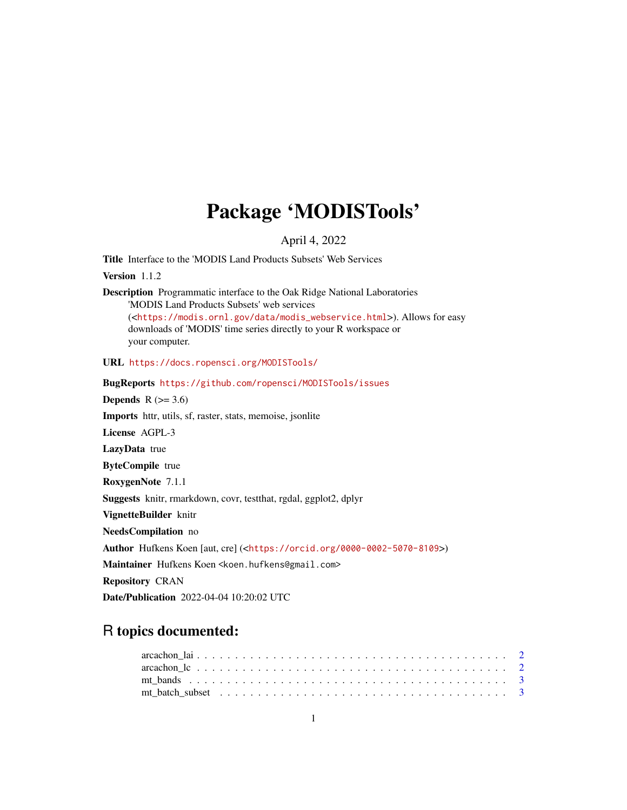# Package 'MODISTools'

April 4, 2022

Title Interface to the 'MODIS Land Products Subsets' Web Services

Version 1.1.2

Description Programmatic interface to the Oak Ridge National Laboratories 'MODIS Land Products Subsets' web services (<[https://modis.ornl.gov/data/modis\\_webservice.html](https://modis.ornl.gov/data/modis_webservice.html)>). Allows for easy downloads of 'MODIS' time series directly to your R workspace or your computer.

URL <https://docs.ropensci.org/MODISTools/>

BugReports <https://github.com/ropensci/MODISTools/issues> Depends  $R$  ( $>= 3.6$ ) Imports httr, utils, sf, raster, stats, memoise, jsonlite License AGPL-3 LazyData true ByteCompile true RoxygenNote 7.1.1 Suggests knitr, rmarkdown, covr, testthat, rgdal, ggplot2, dplyr VignetteBuilder knitr NeedsCompilation no Author Hufkens Koen [aut, cre] (<<https://orcid.org/0000-0002-5070-8109>>) Maintainer Hufkens Koen <koen.hufkens@gmail.com> Repository CRAN Date/Publication 2022-04-04 10:20:02 UTC

# R topics documented:

| mt batch subset $\ldots$ , $\ldots$ , $\ldots$ , $\ldots$ , $\ldots$ , $\ldots$ , $\ldots$ , $\ldots$ , $\ldots$ , $\ldots$ , $\ldots$ |  |  |  |  |  |  |  |  |  |  |  |  |  |  |  |  |  |  |  |
|----------------------------------------------------------------------------------------------------------------------------------------|--|--|--|--|--|--|--|--|--|--|--|--|--|--|--|--|--|--|--|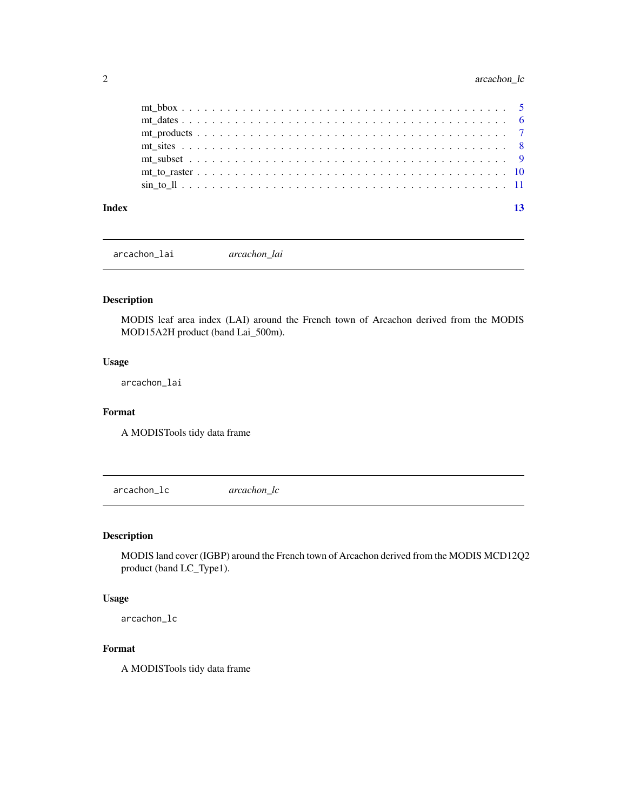# <span id="page-1-0"></span>2 arcachon\_lc

| Index |  |  |  |  |  |  |  |  |  |  |  |  |  |  |  |  |  |  | 13 |
|-------|--|--|--|--|--|--|--|--|--|--|--|--|--|--|--|--|--|--|----|

arcachon\_lai *arcachon\_lai*

# Description

MODIS leaf area index (LAI) around the French town of Arcachon derived from the MODIS MOD15A2H product (band Lai\_500m).

# Usage

arcachon\_lai

### Format

A MODISTools tidy data frame

arcachon\_lc *arcachon\_lc*

# Description

MODIS land cover (IGBP) around the French town of Arcachon derived from the MODIS MCD12Q2 product (band LC\_Type1).

#### Usage

arcachon\_lc

# Format

A MODISTools tidy data frame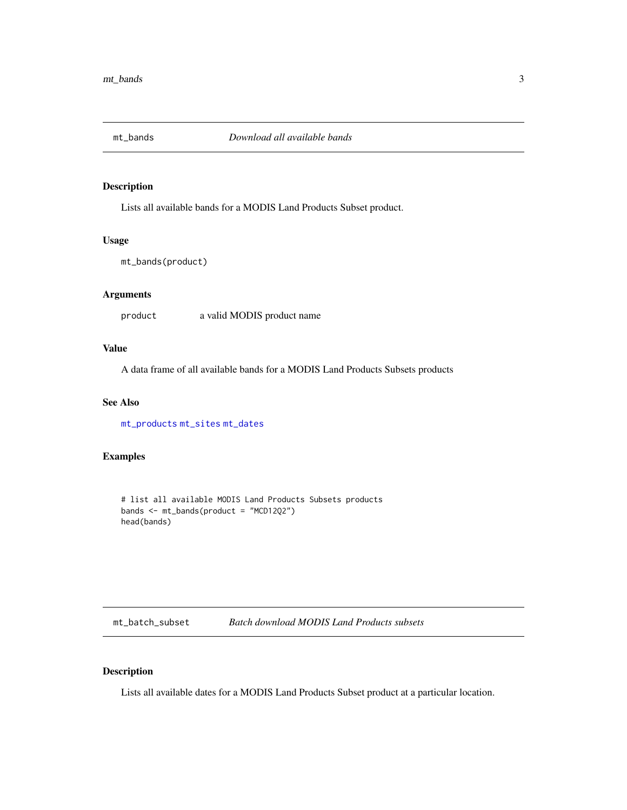<span id="page-2-1"></span><span id="page-2-0"></span>

# Description

Lists all available bands for a MODIS Land Products Subset product.

#### Usage

```
mt_bands(product)
```
# Arguments

product a valid MODIS product name

# Value

A data frame of all available bands for a MODIS Land Products Subsets products

#### See Also

[mt\\_products](#page-6-1) [mt\\_sites](#page-7-1) [mt\\_dates](#page-5-1)

# Examples

```
# list all available MODIS Land Products Subsets products
bands <- mt_bands(product = "MCD12Q2")
head(bands)
```
<span id="page-2-2"></span>mt\_batch\_subset *Batch download MODIS Land Products subsets*

# Description

Lists all available dates for a MODIS Land Products Subset product at a particular location.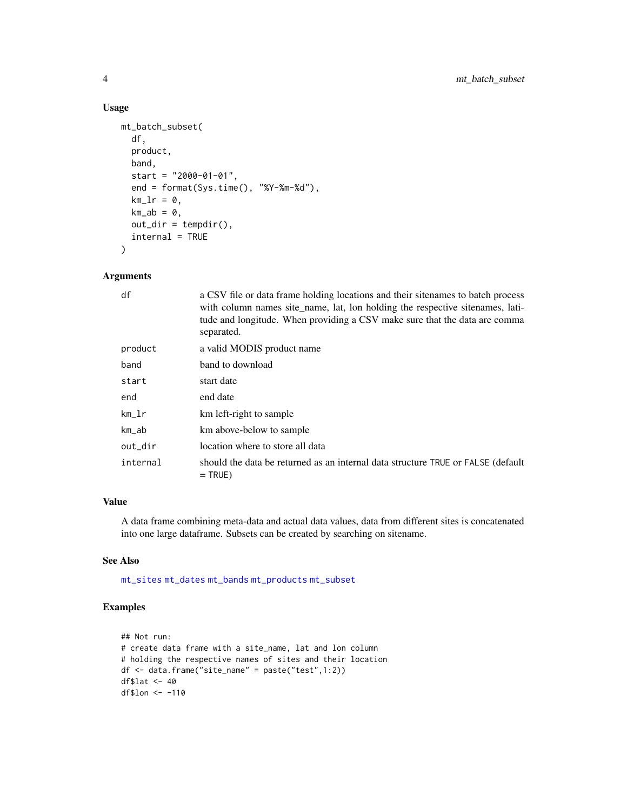# Usage

```
mt_batch_subset(
  df,
  product,
  band,
  start = "2000-01-01",end = format(Sys.time(), "%Y-%m-%d"),
  km_l = 0,
  km<sub>-</sub>ab = 0,
  out\_dir = tempdir(),internal = TRUE
\lambda
```
# Arguments

| df       | a CSV file or data frame holding locations and their sitenames to batch process<br>with column names site_name, lat, lon holding the respective sitenames, lati-<br>tude and longitude. When providing a CSV make sure that the data are comma<br>separated. |
|----------|--------------------------------------------------------------------------------------------------------------------------------------------------------------------------------------------------------------------------------------------------------------|
| product  | a valid MODIS product name                                                                                                                                                                                                                                   |
| band     | band to download                                                                                                                                                                                                                                             |
| start    | start date                                                                                                                                                                                                                                                   |
| end      | end date                                                                                                                                                                                                                                                     |
| km_lr    | km left-right to sample                                                                                                                                                                                                                                      |
| km_ab    | km above-below to sample                                                                                                                                                                                                                                     |
| out_dir  | location where to store all data                                                                                                                                                                                                                             |
| internal | should the data be returned as an internal data structure TRUE or FALSE (default<br>$=$ TRUE)                                                                                                                                                                |

### Value

A data frame combining meta-data and actual data values, data from different sites is concatenated into one large dataframe. Subsets can be created by searching on sitename.

# See Also

[mt\\_sites](#page-7-1) [mt\\_dates](#page-5-1) [mt\\_bands](#page-2-1) [mt\\_products](#page-6-1) [mt\\_subset](#page-8-1)

# Examples

```
## Not run:
# create data frame with a site_name, lat and lon column
# holding the respective names of sites and their location
df <- data.frame("site_name" = paste("test",1:2))
df$lat <- 40
df$lon <- -110
```
<span id="page-3-0"></span>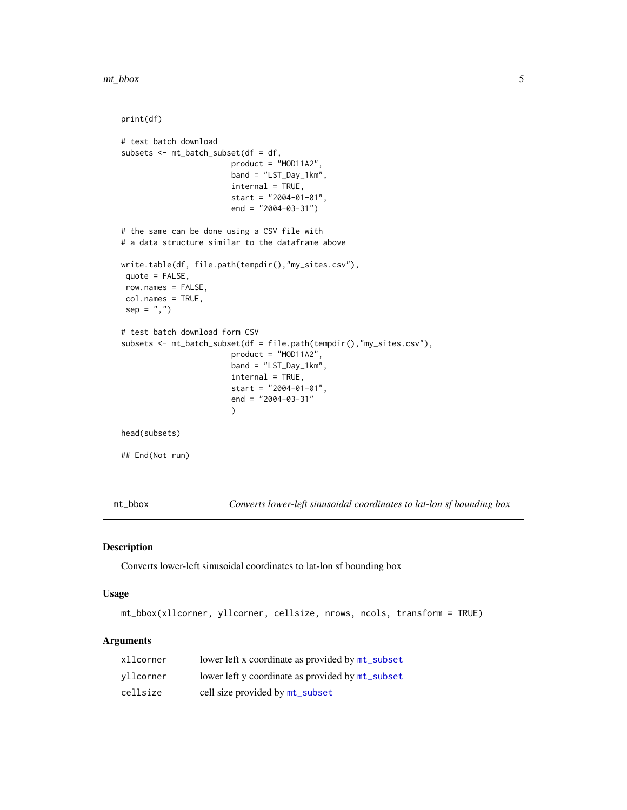<span id="page-4-0"></span>mt\_bbox 5

```
print(df)
# test batch download
subsets <- mt_batch_subset(df = df,
                        product = "MOD11A2",
                        band = "LST_Day_1km",
                        internal = TRUE,
                        start = "2004-01-01",
                        end = "2004-03-31")
# the same can be done using a CSV file with
# a data structure similar to the dataframe above
write.table(df, file.path(tempdir(),"my_sites.csv"),
 quote = FALSE,
 row.names = FALSE,
 col.names = TRUE,
 sep = ","')# test batch download form CSV
subsets <- mt_batch_subset(df = file.path(tempdir(),"my_sites.csv"),
                        product = "MOD11A2",
                        band = "LST_Day_1km",
                        internal = TRUE,
                        start = "2004-01-01",
                        end = "2004-03-31"
                        )
head(subsets)
## End(Not run)
```
<span id="page-4-1"></span>mt\_bbox *Converts lower-left sinusoidal coordinates to lat-lon sf bounding box*

# Description

Converts lower-left sinusoidal coordinates to lat-lon sf bounding box

#### Usage

mt\_bbox(xllcorner, yllcorner, cellsize, nrows, ncols, transform = TRUE)

#### Arguments

| xllcorner | lower left x coordinate as provided by mt_subset |
|-----------|--------------------------------------------------|
| vllcorner | lower left y coordinate as provided by mt_subset |
| cellsize  | cell size provided by mt_subset                  |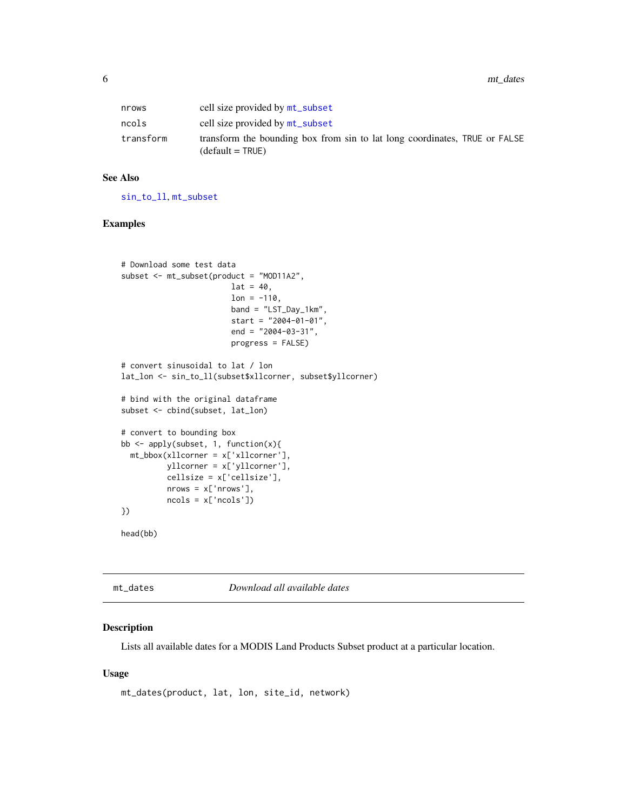<span id="page-5-0"></span>6 mt\_dates methods are seen to the control of the control of the control of the control of the control of the control of the control of the control of the control of the control of the control of the control of the control

| nrows     | cell size provided by mt_subset                                                                  |
|-----------|--------------------------------------------------------------------------------------------------|
| ncols     | cell size provided by mt_subset                                                                  |
| transform | transform the bounding box from sin to lat long coordinates, TRUE or FALSE<br>$(detault = TRUE)$ |

#### See Also

[sin\\_to\\_ll](#page-10-1), [mt\\_subset](#page-8-1)

#### Examples

```
# Download some test data
subset <- mt_subset(product = "MOD11A2",
                        lat = 40,lon = -110,band = "LST_Day_1km",
                        start = "2004-01-01",
                        end = "2004-03-31",
                        progress = FALSE)
# convert sinusoidal to lat / lon
lat_lon <- sin_to_ll(subset$xllcorner, subset$yllcorner)
# bind with the original dataframe
subset <- cbind(subset, lat_lon)
# convert to bounding box
bb <- apply(subset, 1, function(x){
  mt_bbox(xllcorner = x['xllcorner'],
          yllcorner = x['yllcorner'],
          cellsize = x['cellsize'],
          nrows = x['nrows'],
          ncols = x['ncols'])
})
head(bb)
```
<span id="page-5-1"></span>mt\_dates *Download all available dates*

# Description

Lists all available dates for a MODIS Land Products Subset product at a particular location.

#### Usage

```
mt_dates(product, lat, lon, site_id, network)
```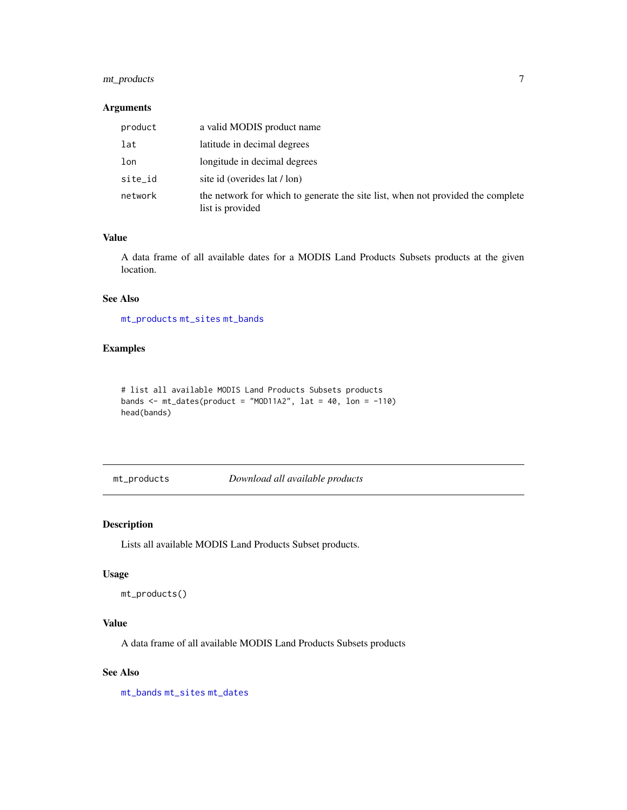# <span id="page-6-0"></span>mt\_products 7

#### Arguments

| product | a valid MODIS product name                                                                          |
|---------|-----------------------------------------------------------------------------------------------------|
| lat     | latitude in decimal degrees                                                                         |
| lon     | longitude in decimal degrees                                                                        |
| site_id | site id (overides lat / lon)                                                                        |
| network | the network for which to generate the site list, when not provided the complete<br>list is provided |

### Value

A data frame of all available dates for a MODIS Land Products Subsets products at the given location.

# See Also

[mt\\_products](#page-6-1) [mt\\_sites](#page-7-1) [mt\\_bands](#page-2-1)

# Examples

```
# list all available MODIS Land Products Subsets products
bands \leq mt_dates(product = "MOD11A2", lat = 40, lon = -110)
head(bands)
```
<span id="page-6-1"></span>mt\_products *Download all available products*

#### Description

Lists all available MODIS Land Products Subset products.

#### Usage

mt\_products()

# Value

A data frame of all available MODIS Land Products Subsets products

#### See Also

[mt\\_bands](#page-2-1) [mt\\_sites](#page-7-1) [mt\\_dates](#page-5-1)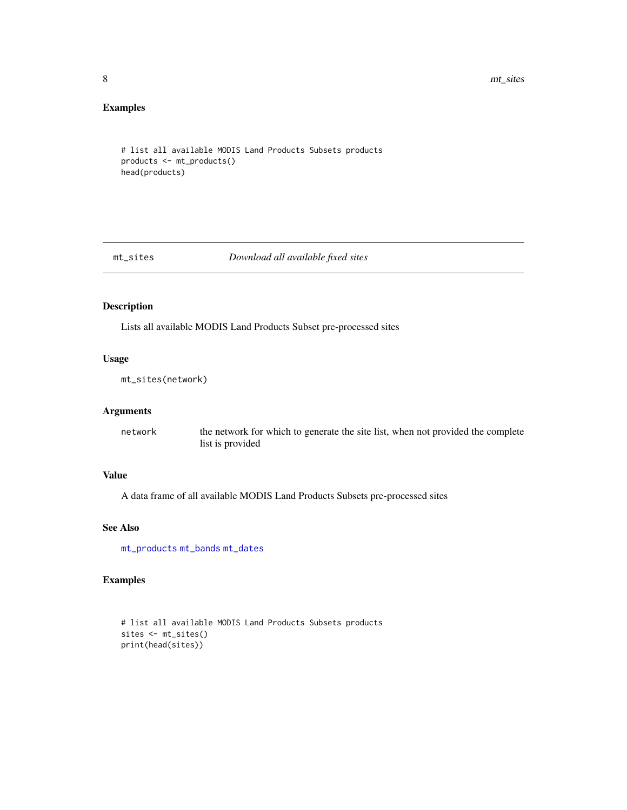8 mt\_sites and the contract of the contract of the contract of the contract of the contract of the contract of the contract of the contract of the contract of the contract of the contract of the contract of the contract of

# Examples

```
# list all available MODIS Land Products Subsets products
products <- mt_products()
head(products)
```
<span id="page-7-1"></span>

mt\_sites *Download all available fixed sites*

# Description

Lists all available MODIS Land Products Subset pre-processed sites

#### Usage

mt\_sites(network)

#### Arguments

network the network for which to generate the site list, when not provided the complete list is provided

### Value

A data frame of all available MODIS Land Products Subsets pre-processed sites

#### See Also

[mt\\_products](#page-6-1) [mt\\_bands](#page-2-1) [mt\\_dates](#page-5-1)

# Examples

```
# list all available MODIS Land Products Subsets products
sites <- mt_sites()
print(head(sites))
```
<span id="page-7-0"></span>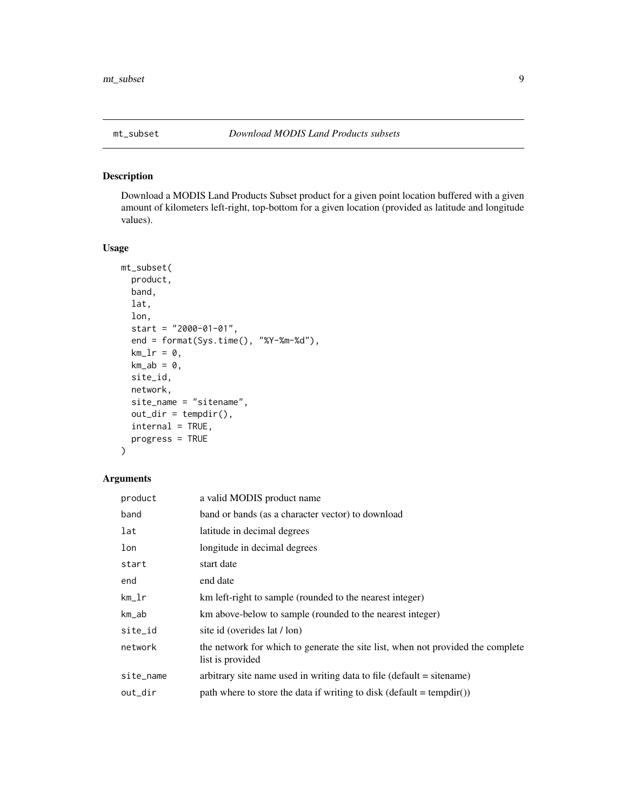<span id="page-8-1"></span><span id="page-8-0"></span>

# Description

Download a MODIS Land Products Subset product for a given point location buffered with a given amount of kilometers left-right, top-bottom for a given location (provided as latitude and longitude values).

# Usage

```
mt_subset(
  product,
  band,
  lat,
  lon,
  start = "2000-01-01",end = format(Sys.time(), "%Y-%m-%d"),
  km_l = 0,
  km<sub>-</sub>ab = 0,site_id,
  network,
  site_name = "sitename",
  out\_dir = tempdir(),interval = TRUE,progress = TRUE
\mathcal{L}
```
# Arguments

| product   | a valid MODIS product name                                                                          |
|-----------|-----------------------------------------------------------------------------------------------------|
| band      | band or bands (as a character vector) to download                                                   |
| lat       | latitude in decimal degrees                                                                         |
| lon       | longitude in decimal degrees                                                                        |
| start     | start date                                                                                          |
| end       | end date                                                                                            |
| km_lr     | km left-right to sample (rounded to the nearest integer)                                            |
| km_ab     | km above-below to sample (rounded to the nearest integer)                                           |
| site_id   | site id (overides lat / lon)                                                                        |
| network   | the network for which to generate the site list, when not provided the complete<br>list is provided |
| site_name | arbitrary site name used in writing data to file (default = sitename)                               |
| out_dir   | path where to store the data if writing to disk (default = tempdir())                               |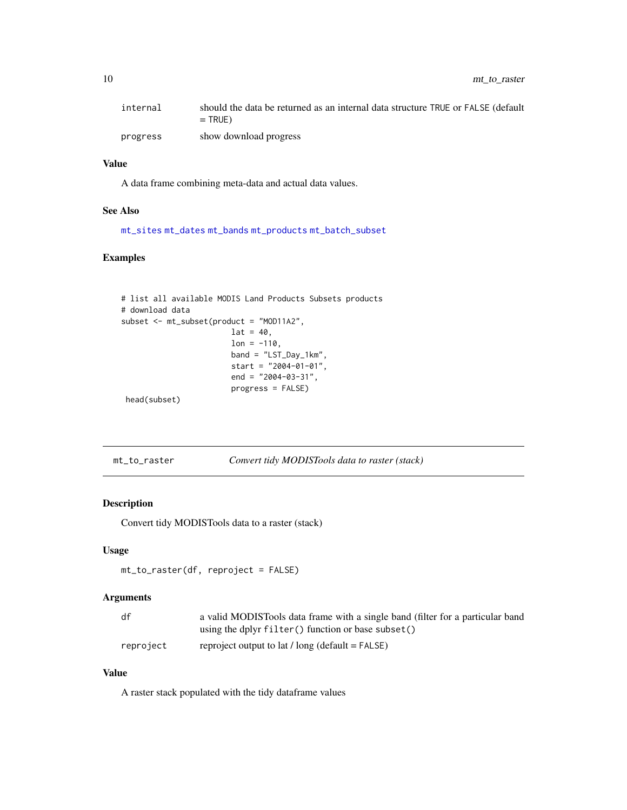<span id="page-9-0"></span>

| internal | should the data be returned as an internal data structure TRUE or FALSE (default<br>$=$ TRUE) |
|----------|-----------------------------------------------------------------------------------------------|
| progress | show download progress                                                                        |

# Value

A data frame combining meta-data and actual data values.

#### See Also

[mt\\_sites](#page-7-1) [mt\\_dates](#page-5-1) [mt\\_bands](#page-2-1) [mt\\_products](#page-6-1) [mt\\_batch\\_subset](#page-2-2)

# Examples

```
# list all available MODIS Land Products Subsets products
# download data
subset <- mt_subset(product = "MOD11A2",
                       lat = 40,lon = -110,band = "LST_Day_1km",
                       start = "2004-01-01",end = "2004-03-31",
                       progress = FALSE)
head(subset)
```
mt\_to\_raster *Convert tidy MODISTools data to raster (stack)*

### Description

Convert tidy MODISTools data to a raster (stack)

#### Usage

```
mt_to_raster(df, reproject = FALSE)
```
#### Arguments

| df        | a valid MODISTools data frame with a single band (filter for a particular band |
|-----------|--------------------------------------------------------------------------------|
|           | using the dplyr filter() function or base subset()                             |
| reproject | reproject output to $lat / long$ (default = FALSE)                             |

# Value

A raster stack populated with the tidy dataframe values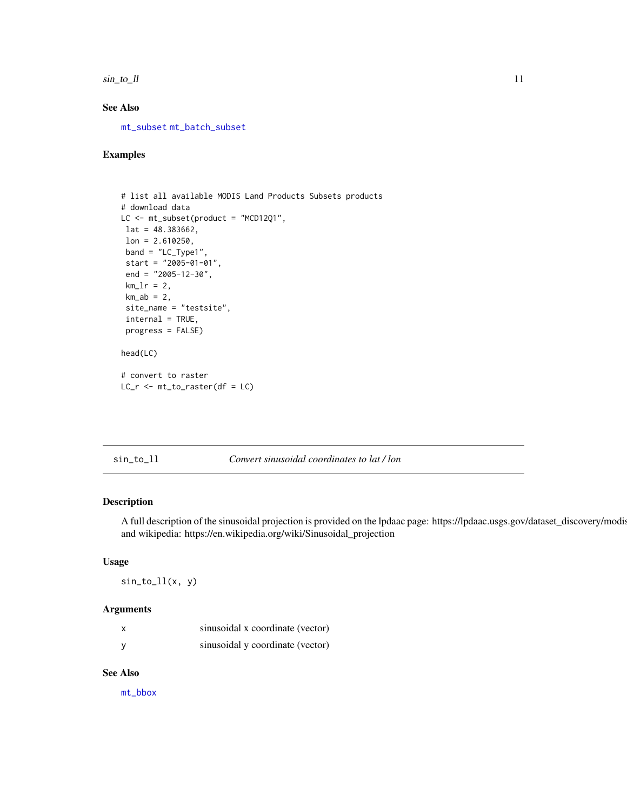<span id="page-10-0"></span> $\sin \bot$  to  $\bot$  11

# See Also

[mt\\_subset](#page-8-1) [mt\\_batch\\_subset](#page-2-2)

# Examples

```
# list all available MODIS Land Products Subsets products
# download data
LC <- mt_subset(product = "MCD12Q1",
lat = 48.383662,
lon = 2.610250,band = "LC_Type1",
 start = "2005-01-01",
 end = "2005-12-30",
 km_l = 2,
 km<sub>-</sub>ab = 2,site_name = "testsite",
 internal = TRUE,
 progress = FALSE)
head(LC)
# convert to raster
LC_r <- mt_to_raster(df = LC)
```
<span id="page-10-1"></span>sin\_to\_ll *Convert sinusoidal coordinates to lat / lon*

### Description

A full description of the sinusoidal projection is provided on the lpdaac page: https://lpdaac.usgs.gov/dataset\_discovery/modis and wikipedia: https://en.wikipedia.org/wiki/Sinusoidal\_projection

# Usage

 $sin_to_ll(x, y)$ 

#### Arguments

| X | sinusoidal x coordinate (vector) |
|---|----------------------------------|
| у | sinusoidal y coordinate (vector) |

# See Also

[mt\\_bbox](#page-4-1)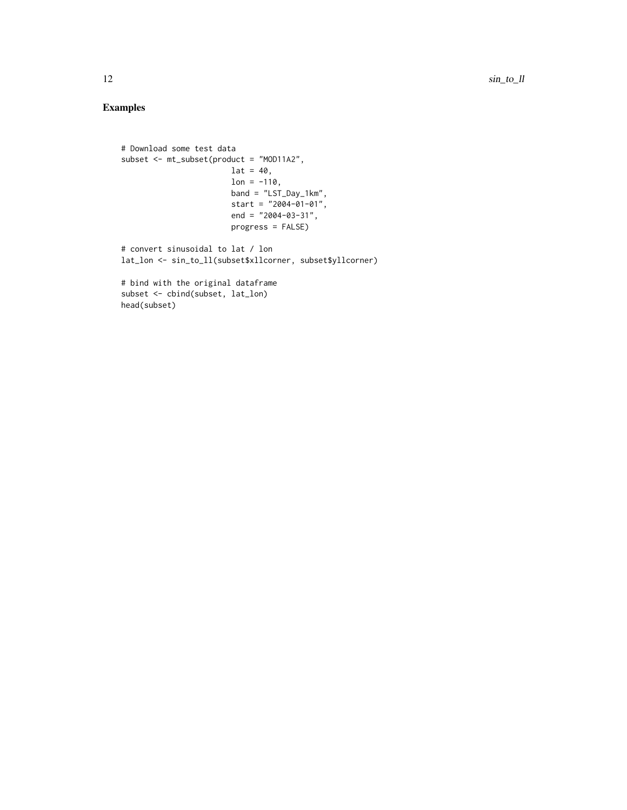# Examples

```
# Download some test data
subset <- mt_subset(product = "MOD11A2",
                       lat = 40,
                       lon = -110,band = "LST_Day_1km",
                       start = "2004-01-01",
                       end = "2004-03-31",
                       progress = FALSE)
# convert sinusoidal to lat / lon
lat_lon <- sin_to_ll(subset$xllcorner, subset$yllcorner)
# bind with the original dataframe
subset <- cbind(subset, lat_lon)
head(subset)
```